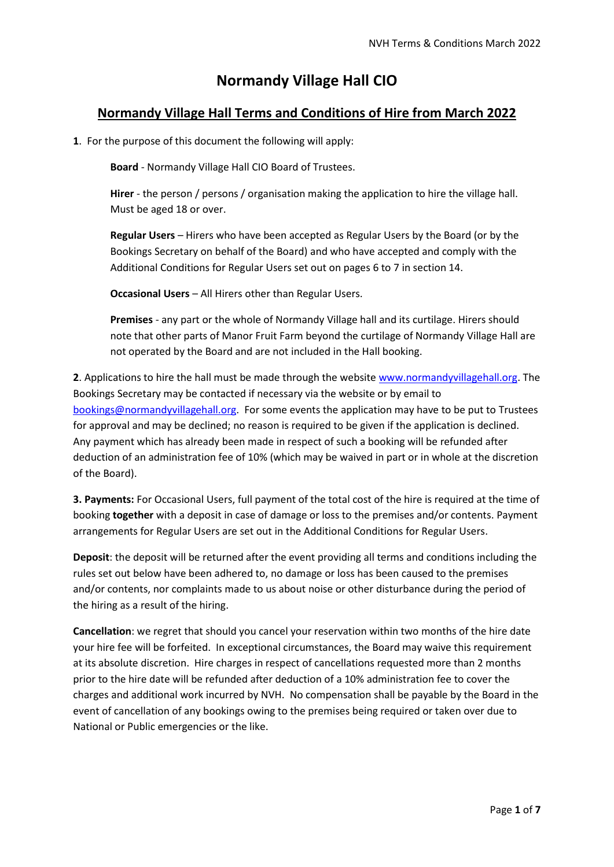# **Normandy Village Hall CIO**

## **Normandy Village Hall Terms and Conditions of Hire from March 2022**

**1**. For the purpose of this document the following will apply:

**Board** - Normandy Village Hall CIO Board of Trustees.

**Hirer** - the person / persons / organisation making the application to hire the village hall. Must be aged 18 or over.

**Regular Users** – Hirers who have been accepted as Regular Users by the Board (or by the Bookings Secretary on behalf of the Board) and who have accepted and comply with the Additional Conditions for Regular Users set out on pages 6 to 7 in section 14.

**Occasional Users** – All Hirers other than Regular Users.

**Premises** - any part or the whole of Normandy Village hall and its curtilage. Hirers should note that other parts of Manor Fruit Farm beyond the curtilage of Normandy Village Hall are not operated by the Board and are not included in the Hall booking.

**2**. Applications to hire the hall must be made through the website [www.normandyvillagehall.org.](http://www.normandyvillagehall.org/) The Bookings Secretary may be contacted if necessary via the website or by email to [bookings@normandyvillagehall.org.](mailto:bookings@normandyvillagehall.org) For some events the application may have to be put to Trustees for approval and may be declined; no reason is required to be given if the application is declined. Any payment which has already been made in respect of such a booking will be refunded after deduction of an administration fee of 10% (which may be waived in part or in whole at the discretion of the Board).

**3. Payments:** For Occasional Users, full payment of the total cost of the hire is required at the time of booking **together** with a deposit in case of damage or loss to the premises and/or contents. Payment arrangements for Regular Users are set out in the Additional Conditions for Regular Users.

**Deposit**: the deposit will be returned after the event providing all terms and conditions including the rules set out below have been adhered to, no damage or loss has been caused to the premises and/or contents, nor complaints made to us about noise or other disturbance during the period of the hiring as a result of the hiring.

**Cancellation**: we regret that should you cancel your reservation within two months of the hire date your hire fee will be forfeited. In exceptional circumstances, the Board may waive this requirement at its absolute discretion. Hire charges in respect of cancellations requested more than 2 months prior to the hire date will be refunded after deduction of a 10% administration fee to cover the charges and additional work incurred by NVH. No compensation shall be payable by the Board in the event of cancellation of any bookings owing to the premises being required or taken over due to National or Public emergencies or the like.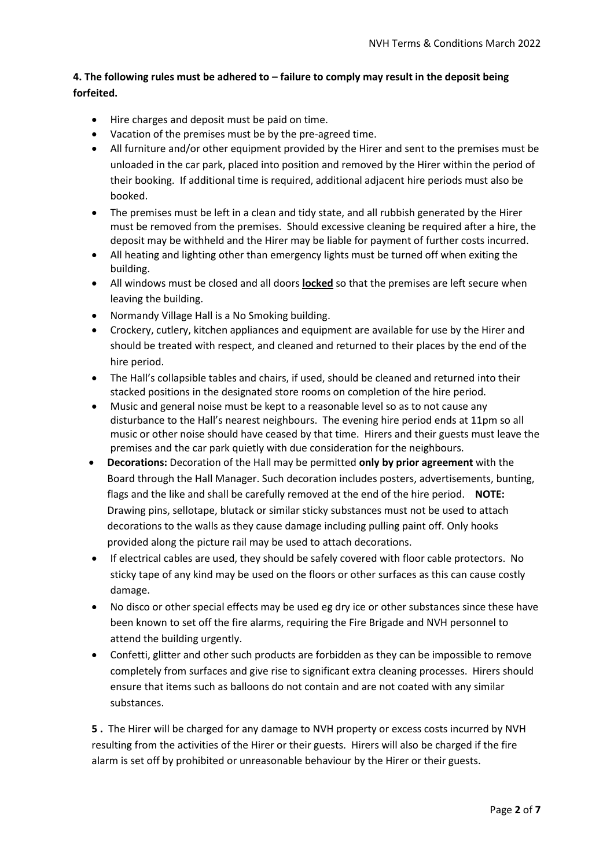## **4. The following rules must be adhered to – failure to comply may result in the deposit being forfeited.**

- Hire charges and deposit must be paid on time.
- Vacation of the premises must be by the pre-agreed time.
- All furniture and/or other equipment provided by the Hirer and sent to the premises must be unloaded in the car park, placed into position and removed by the Hirer within the period of their booking. If additional time is required, additional adjacent hire periods must also be booked.
- The premises must be left in a clean and tidy state, and all rubbish generated by the Hirer must be removed from the premises. Should excessive cleaning be required after a hire, the deposit may be withheld and the Hirer may be liable for payment of further costs incurred.
- All heating and lighting other than emergency lights must be turned off when exiting the building.
- All windows must be closed and all doors **locked** so that the premises are left secure when leaving the building.
- Normandy Village Hall is a No Smoking building.
- Crockery, cutlery, kitchen appliances and equipment are available for use by the Hirer and should be treated with respect, and cleaned and returned to their places by the end of the hire period.
- The Hall's collapsible tables and chairs, if used, should be cleaned and returned into their stacked positions in the designated store rooms on completion of the hire period.
- Music and general noise must be kept to a reasonable level so as to not cause any disturbance to the Hall's nearest neighbours. The evening hire period ends at 11pm so all music or other noise should have ceased by that time. Hirers and their guests must leave the premises and the car park quietly with due consideration for the neighbours.
- **Decorations:** Decoration of the Hall may be permitted **only by prior agreement** with the Board through the Hall Manager. Such decoration includes posters, advertisements, bunting, flags and the like and shall be carefully removed at the end of the hire period. **NOTE:** Drawing pins, sellotape, blutack or similar sticky substances must not be used to attach decorations to the walls as they cause damage including pulling paint off. Only hooks provided along the picture rail may be used to attach decorations.
- If electrical cables are used, they should be safely covered with floor cable protectors. No sticky tape of any kind may be used on the floors or other surfaces as this can cause costly damage.
- No disco or other special effects may be used eg dry ice or other substances since these have been known to set off the fire alarms, requiring the Fire Brigade and NVH personnel to attend the building urgently.
- Confetti, glitter and other such products are forbidden as they can be impossible to remove completely from surfaces and give rise to significant extra cleaning processes. Hirers should ensure that items such as balloons do not contain and are not coated with any similar substances.

**5 .** The Hirer will be charged for any damage to NVH property or excess costs incurred by NVH resulting from the activities of the Hirer or their guests. Hirers will also be charged if the fire alarm is set off by prohibited or unreasonable behaviour by the Hirer or their guests.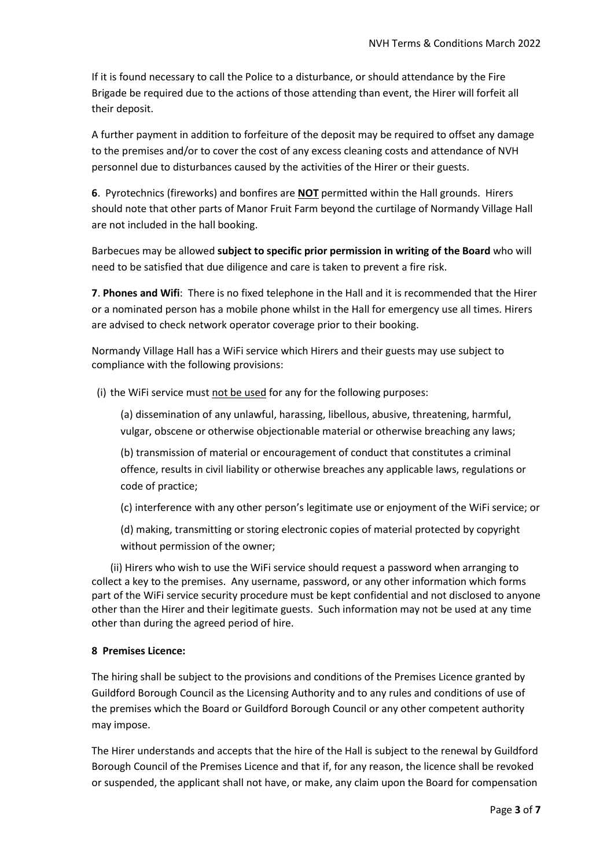If it is found necessary to call the Police to a disturbance, or should attendance by the Fire Brigade be required due to the actions of those attending than event, the Hirer will forfeit all their deposit.

A further payment in addition to forfeiture of the deposit may be required to offset any damage to the premises and/or to cover the cost of any excess cleaning costs and attendance of NVH personnel due to disturbances caused by the activities of the Hirer or their guests.

**6**. Pyrotechnics (fireworks) and bonfires are **NOT** permitted within the Hall grounds. Hirers should note that other parts of Manor Fruit Farm beyond the curtilage of Normandy Village Hall are not included in the hall booking.

Barbecues may be allowed **subject to specific prior permission in writing of the Board** who will need to be satisfied that due diligence and care is taken to prevent a fire risk.

**7**. **Phones and Wifi**: There is no fixed telephone in the Hall and it is recommended that the Hirer or a nominated person has a mobile phone whilst in the Hall for emergency use all times. Hirers are advised to check network operator coverage prior to their booking.

Normandy Village Hall has a WiFi service which Hirers and their guests may use subject to compliance with the following provisions:

(i) the WiFi service must not be used for any for the following purposes:

(a) dissemination of any unlawful, harassing, libellous, abusive, threatening, harmful, vulgar, obscene or otherwise objectionable material or otherwise breaching any laws;

(b) transmission of material or encouragement of conduct that constitutes a criminal offence, results in civil liability or otherwise breaches any applicable laws, regulations or code of practice;

(c) interference with any other person's legitimate use or enjoyment of the WiFi service; or

(d) making, transmitting or storing electronic copies of material protected by copyright without permission of the owner;

(ii) Hirers who wish to use the WiFi service should request a password when arranging to collect a key to the premises. Any username, password, or any other information which forms part of the WiFi service security procedure must be kept confidential and not disclosed to anyone other than the Hirer and their legitimate guests. Such information may not be used at any time other than during the agreed period of hire.

## **8 Premises Licence:**

The hiring shall be subject to the provisions and conditions of the Premises Licence granted by Guildford Borough Council as the Licensing Authority and to any rules and conditions of use of the premises which the Board or Guildford Borough Council or any other competent authority may impose.

The Hirer understands and accepts that the hire of the Hall is subject to the renewal by Guildford Borough Council of the Premises Licence and that if, for any reason, the licence shall be revoked or suspended, the applicant shall not have, or make, any claim upon the Board for compensation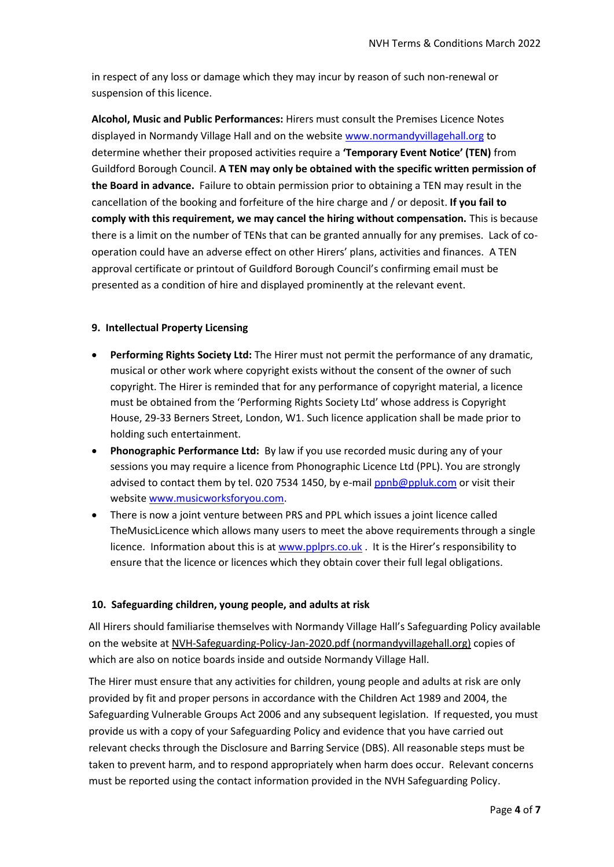in respect of any loss or damage which they may incur by reason of such non-renewal or suspension of this licence.

**Alcohol, Music and Public Performances:** Hirers must consult the Premises Licence Notes displayed in Normandy Village Hall and on the websit[e www.normandyvillagehall.org](http://www.normandyvillagehall.org/) to determine whether their proposed activities require a **'Temporary Event Notice' (TEN)** from Guildford Borough Council. **A TEN may only be obtained with the specific written permission of the Board in advance.** Failure to obtain permission prior to obtaining a TEN may result in the cancellation of the booking and forfeiture of the hire charge and / or deposit. **If you fail to comply with this requirement, we may cancel the hiring without compensation.** This is because there is a limit on the number of TENs that can be granted annually for any premises. Lack of cooperation could have an adverse effect on other Hirers' plans, activities and finances. A TEN approval certificate or printout of Guildford Borough Council's confirming email must be presented as a condition of hire and displayed prominently at the relevant event.

#### **9. Intellectual Property Licensing**

- **Performing Rights Society Ltd:** The Hirer must not permit the performance of any dramatic, musical or other work where copyright exists without the consent of the owner of such copyright. The Hirer is reminded that for any performance of copyright material, a licence must be obtained from the 'Performing Rights Society Ltd' whose address is Copyright House, 29-33 Berners Street, London, W1. Such licence application shall be made prior to holding such entertainment.
- **Phonographic Performance Ltd:** By law if you use recorded music during any of your sessions you may require a licence from Phonographic Licence Ltd (PPL). You are strongly advised to contact them by tel. 020 7534 1450, by e-mail [ppnb@ppluk.com](mailto:ppnb@ppluk.com) or visit their websit[e www.musicworksforyou.com.](http://www.musicworksforyou.com/)
- There is now a joint venture between PRS and PPL which issues a joint licence called TheMusicLicence which allows many users to meet the above requirements through a single licence. Information about this is at [www.pplprs.co.uk](http://www.pplprs.co.uk/) . It is the Hirer's responsibility to ensure that the licence or licences which they obtain cover their full legal obligations.

#### **10. Safeguarding children, young people, and adults at risk**

All Hirers should familiarise themselves with Normandy Village Hall's Safeguarding Policy available on the website a[t NVH-Safeguarding-Policy-Jan-2020.pdf \(normandyvillagehall.org\)](https://normandyvillagehall.org/wp-content/uploads/2020/02/NVH-Safeguarding-Policy-Jan-2020.pdf) copies of which are also on notice boards inside and outside Normandy Village Hall.

The Hirer must ensure that any activities for children, young people and adults at risk are only provided by fit and proper persons in accordance with the Children Act 1989 and 2004, the Safeguarding Vulnerable Groups Act 2006 and any subsequent legislation. If requested, you must provide us with a copy of your Safeguarding Policy and evidence that you have carried out relevant checks through the Disclosure and Barring Service (DBS). All reasonable steps must be taken to prevent harm, and to respond appropriately when harm does occur. Relevant concerns must be reported using the contact information provided in the NVH Safeguarding Policy.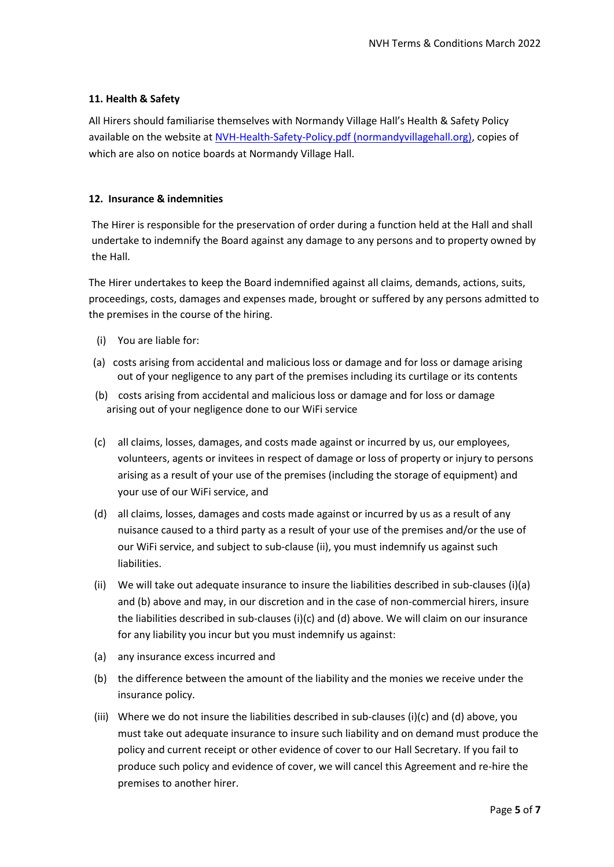## **11. Health & Safety**

All Hirers should familiarise themselves with Normandy Village Hall's Health & Safety Policy available on the website a[t NVH-Health-Safety-Policy.pdf \(normandyvillagehall.org\),](https://normandyvillagehall.org/wp-content/uploads/2018/02/NVH-Health-Safety-Policy.pdf) copies of which are also on notice boards at Normandy Village Hall.

## **12. Insurance & indemnities**

The Hirer is responsible for the preservation of order during a function held at the Hall and shall undertake to indemnify the Board against any damage to any persons and to property owned by the Hall.

The Hirer undertakes to keep the Board indemnified against all claims, demands, actions, suits, proceedings, costs, damages and expenses made, brought or suffered by any persons admitted to the premises in the course of the hiring.

- (i) You are liable for:
- (a) costs arising from accidental and malicious loss or damage and for loss or damage arising out of your negligence to any part of the premises including its curtilage or its contents
- (b) costs arising from accidental and malicious loss or damage and for loss or damage arising out of your negligence done to our WiFi service
- (c) all claims, losses, damages, and costs made against or incurred by us, our employees, volunteers, agents or invitees in respect of damage or loss of property or injury to persons arising as a result of your use of the premises (including the storage of equipment) and your use of our WiFi service, and
- (d) all claims, losses, damages and costs made against or incurred by us as a result of any nuisance caused to a third party as a result of your use of the premises and/or the use of our WiFi service, and subject to sub-clause (ii), you must indemnify us against such liabilities.
- (ii) We will take out adequate insurance to insure the liabilities described in sub-clauses (i)(a) and (b) above and may, in our discretion and in the case of non-commercial hirers, insure the liabilities described in sub-clauses (i)(c) and (d) above. We will claim on our insurance for any liability you incur but you must indemnify us against:
- (a) any insurance excess incurred and
- (b) the difference between the amount of the liability and the monies we receive under the insurance policy.
- (iii) Where we do not insure the liabilities described in sub-clauses (i)(c) and (d) above, you must take out adequate insurance to insure such liability and on demand must produce the policy and current receipt or other evidence of cover to our Hall Secretary. If you fail to produce such policy and evidence of cover, we will cancel this Agreement and re-hire the premises to another hirer.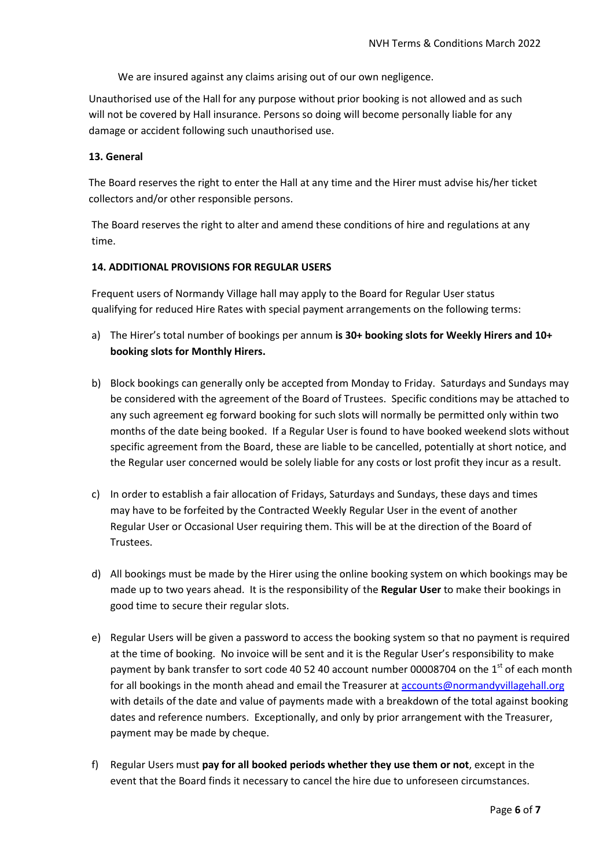We are insured against any claims arising out of our own negligence.

Unauthorised use of the Hall for any purpose without prior booking is not allowed and as such will not be covered by Hall insurance. Persons so doing will become personally liable for any damage or accident following such unauthorised use.

#### **13. General**

The Board reserves the right to enter the Hall at any time and the Hirer must advise his/her ticket collectors and/or other responsible persons.

The Board reserves the right to alter and amend these conditions of hire and regulations at any time.

#### **14. ADDITIONAL PROVISIONS FOR REGULAR USERS**

Frequent users of Normandy Village hall may apply to the Board for Regular User status qualifying for reduced Hire Rates with special payment arrangements on the following terms:

- a) The Hirer's total number of bookings per annum **is 30+ booking slots for Weekly Hirers and 10+ booking slots for Monthly Hirers.**
- b) Block bookings can generally only be accepted from Monday to Friday. Saturdays and Sundays may be considered with the agreement of the Board of Trustees. Specific conditions may be attached to any such agreement eg forward booking for such slots will normally be permitted only within two months of the date being booked. If a Regular User is found to have booked weekend slots without specific agreement from the Board, these are liable to be cancelled, potentially at short notice, and the Regular user concerned would be solely liable for any costs or lost profit they incur as a result.
- c) In order to establish a fair allocation of Fridays, Saturdays and Sundays, these days and times may have to be forfeited by the Contracted Weekly Regular User in the event of another Regular User or Occasional User requiring them. This will be at the direction of the Board of Trustees.
- d) All bookings must be made by the Hirer using the online booking system on which bookings may be made up to two years ahead. It is the responsibility of the **Regular User** to make their bookings in good time to secure their regular slots.
- e) Regular Users will be given a password to access the booking system so that no payment is required at the time of booking. No invoice will be sent and it is the Regular User's responsibility to make payment by bank transfer to sort code 40 52 40 account number 00008704 on the 1<sup>st</sup> of each month for all bookings in the month ahead and email the Treasurer at [accounts@normandyvillagehall.org](mailto:accounts@normandyvillagehall.org) with details of the date and value of payments made with a breakdown of the total against booking dates and reference numbers. Exceptionally, and only by prior arrangement with the Treasurer, payment may be made by cheque.
- f) Regular Users must **pay for all booked periods whether they use them or not**, except in the event that the Board finds it necessary to cancel the hire due to unforeseen circumstances.